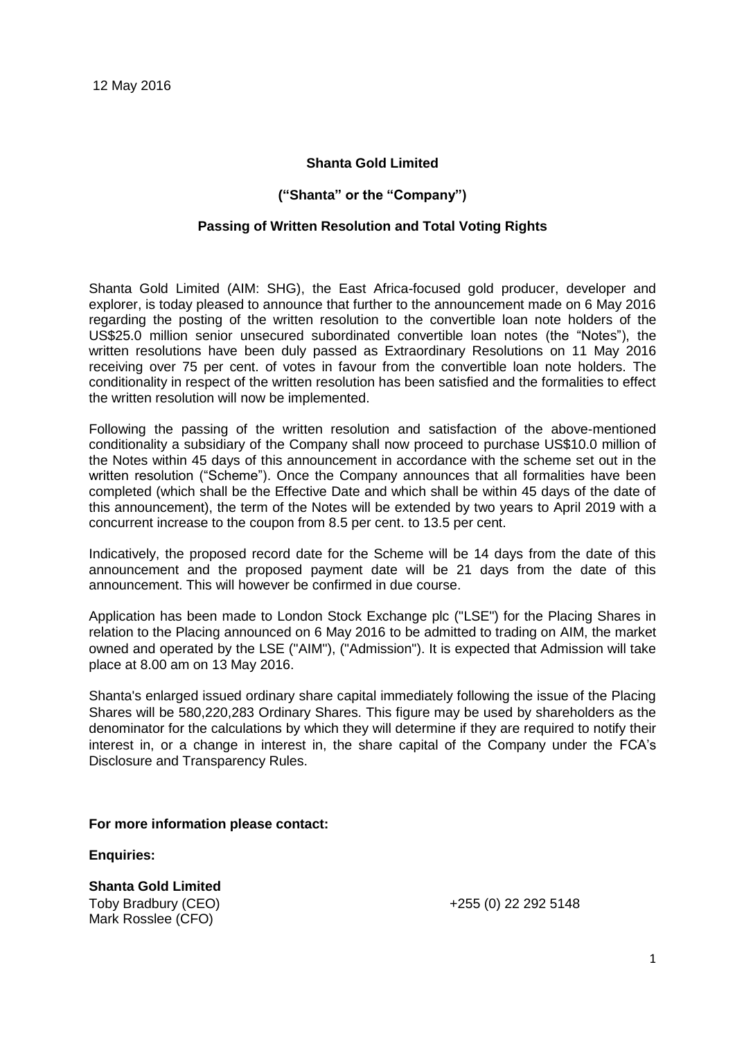## **Shanta Gold Limited**

## **("Shanta" or the "Company")**

### **Passing of Written Resolution and Total Voting Rights**

Shanta Gold Limited (AIM: SHG), the East Africa-focused gold producer, developer and explorer, is today pleased to announce that further to the announcement made on 6 May 2016 regarding the posting of the written resolution to the convertible loan note holders of the US\$25.0 million senior unsecured subordinated convertible loan notes (the "Notes"), the written resolutions have been duly passed as Extraordinary Resolutions on 11 May 2016 receiving over 75 per cent. of votes in favour from the convertible loan note holders. The conditionality in respect of the written resolution has been satisfied and the formalities to effect the written resolution will now be implemented.

Following the passing of the written resolution and satisfaction of the above-mentioned conditionality a subsidiary of the Company shall now proceed to purchase US\$10.0 million of the Notes within 45 days of this announcement in accordance with the scheme set out in the written resolution ("Scheme"). Once the Company announces that all formalities have been completed (which shall be the Effective Date and which shall be within 45 days of the date of this announcement), the term of the Notes will be extended by two years to April 2019 with a concurrent increase to the coupon from 8.5 per cent. to 13.5 per cent.

Indicatively, the proposed record date for the Scheme will be 14 days from the date of this announcement and the proposed payment date will be 21 days from the date of this announcement. This will however be confirmed in due course.

Application has been made to London Stock Exchange plc ("LSE") for the Placing Shares in relation to the Placing announced on 6 May 2016 to be admitted to trading on AIM, the market owned and operated by the LSE ("AIM"), ("Admission"). It is expected that Admission will take place at 8.00 am on 13 May 2016.

Shanta's enlarged issued ordinary share capital immediately following the issue of the Placing Shares will be 580,220,283 Ordinary Shares. This figure may be used by shareholders as the denominator for the calculations by which they will determine if they are required to notify their interest in, or a change in interest in, the share capital of the Company under the FCA's Disclosure and Transparency Rules.

#### **For more information please contact:**

**Enquiries:**

**Shanta Gold Limited**  Toby Bradbury (CEO) Mark Rosslee (CFO)

+255 (0) 22 292 5148